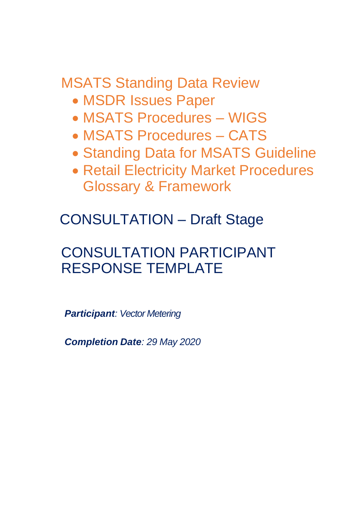MSATS Standing Data Review

- MSDR Issues Paper
- MSATS Procedures WIGS
- MSATS Procedures CATS
- Standing Data for MSATS Guideline
- Retail Electricity Market Procedures Glossary & Framework

CONSULTATION – Draft Stage

# CONSULTATION PARTICIPANT RESPONSE TEMPLATE

*Participant: Vector Metering*

*Completion Date: 29 May 2020*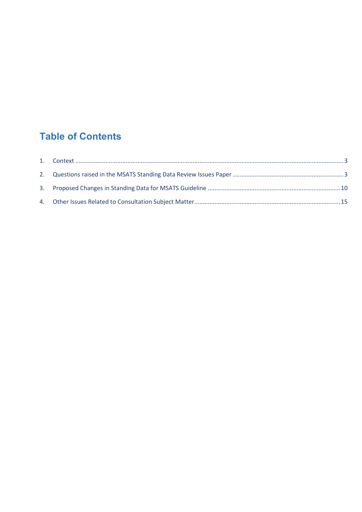# **Table of Contents**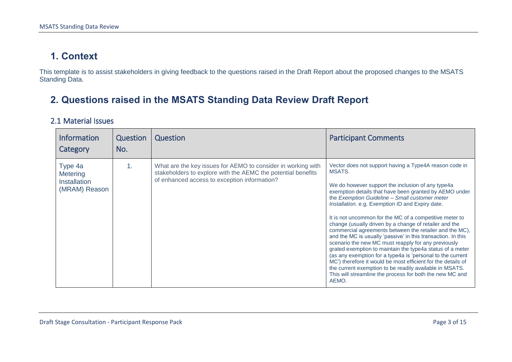### **1. Context**

This template is to assist stakeholders in giving feedback to the questions raised in the Draft Report about the proposed changes to the MSATS Standing Data.

## **2. Questions raised in the MSATS Standing Data Review Draft Report**

#### 2.1 Material Issues

<span id="page-2-1"></span><span id="page-2-0"></span>

| <b>Information</b><br>Category                              | Question<br>No. | Question                                                                                                                                                                     | <b>Participant Comments</b>                                                                                                                                                                                                                                                                                                                                                                                                                                                                                                                                                                                                                                                                                                                                                                                                                                                                                             |
|-------------------------------------------------------------|-----------------|------------------------------------------------------------------------------------------------------------------------------------------------------------------------------|-------------------------------------------------------------------------------------------------------------------------------------------------------------------------------------------------------------------------------------------------------------------------------------------------------------------------------------------------------------------------------------------------------------------------------------------------------------------------------------------------------------------------------------------------------------------------------------------------------------------------------------------------------------------------------------------------------------------------------------------------------------------------------------------------------------------------------------------------------------------------------------------------------------------------|
| Type 4a<br>Metering<br><b>Installation</b><br>(MRAM) Reason | 1.              | What are the key issues for AEMO to consider in working with<br>stakeholders to explore with the AEMC the potential benefits<br>of enhanced access to exception information? | Vector does not support having a Type4A reason code in<br>MSATS.<br>We do however support the inclusion of any type4a<br>exemption details that have been granted by AEMO under<br>the Exemption Guideline - Small customer meter<br>Installation. e.g. Exemption ID and Expiry date.<br>It is not uncommon for the MC of a competitive meter to<br>change (usually driven by a change of retailer and the<br>commercial agreements between the retailer and the MC),<br>and the MC is usually 'passive' in this transaction. In this<br>scenario the new MC must reapply for any previously<br>grated exemption to maintain the type4a status of a meter<br>(as any exemption for a type4a is 'personal to the current<br>MC') therefore it would be most efficient for the details of<br>the current exemption to be readily available in MSATS.<br>This will streamline the process for both the new MC and<br>AEMO. |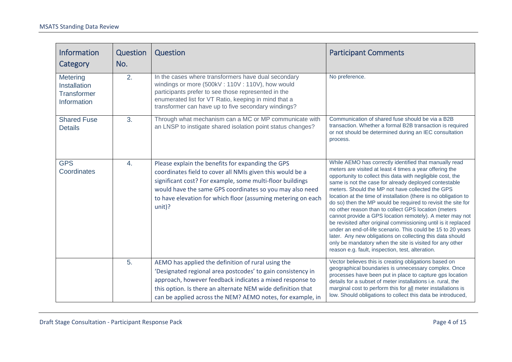| <b>Information</b><br>Category                                       | Question<br>No. | Question                                                                                                                                                                                                                                                                                                            | <b>Participant Comments</b>                                                                                                                                                                                                                                                                                                                                                                                                                                                                                                                                                                                                                                                                                                                                                                                                                                       |
|----------------------------------------------------------------------|-----------------|---------------------------------------------------------------------------------------------------------------------------------------------------------------------------------------------------------------------------------------------------------------------------------------------------------------------|-------------------------------------------------------------------------------------------------------------------------------------------------------------------------------------------------------------------------------------------------------------------------------------------------------------------------------------------------------------------------------------------------------------------------------------------------------------------------------------------------------------------------------------------------------------------------------------------------------------------------------------------------------------------------------------------------------------------------------------------------------------------------------------------------------------------------------------------------------------------|
| Metering<br><b>Installation</b><br><b>Transformer</b><br>Information | 2.              | In the cases where transformers have dual secondary<br>windings or more (500kV: 110V: 110V), how would<br>participants prefer to see those represented in the<br>enumerated list for VT Ratio, keeping in mind that a<br>transformer can have up to five secondary windings?                                        | No preference.                                                                                                                                                                                                                                                                                                                                                                                                                                                                                                                                                                                                                                                                                                                                                                                                                                                    |
| <b>Shared Fuse</b><br><b>Details</b>                                 | 3.              | Through what mechanism can a MC or MP communicate with<br>an LNSP to instigate shared isolation point status changes?                                                                                                                                                                                               | Communication of shared fuse should be via a B2B<br>transaction. Whether a formal B2B transaction is required<br>or not should be determined during an IEC consultation<br>process.                                                                                                                                                                                                                                                                                                                                                                                                                                                                                                                                                                                                                                                                               |
| <b>GPS</b><br>Coordinates                                            | 4.              | Please explain the benefits for expanding the GPS<br>coordinates field to cover all NMIs given this would be a<br>significant cost? For example, some multi-floor buildings<br>would have the same GPS coordinates so you may also need<br>to have elevation for which floor (assuming metering on each<br>$unit$ ? | While AEMO has correctly identified that manually read<br>meters are visited at least 4 times a year offering the<br>opportunity to collect this data with negligible cost, the<br>same is not the case for already deployed contestable<br>meters. Should the MP not have collected the GPS<br>location at the time of installation (there is no obligation to<br>do so) then the MP would be required to revisit the site for<br>no other reason than to collect GPS location (meters<br>cannot provide a GPS location remotely). A meter may not<br>be revisited after original commissioning until is it replaced<br>under an end-of-life scenario. This could be 15 to 20 years<br>later. Any new obligations on collecting this data should<br>only be mandatory when the site is visited for any other<br>reason e.g. fault, inspection, test, alteration. |
|                                                                      | 5.              | AEMO has applied the definition of rural using the<br>'Designated regional area postcodes' to gain consistency in<br>approach, however feedback indicates a mixed response to<br>this option. Is there an alternate NEM wide definition that<br>can be applied across the NEM? AEMO notes, for example, in          | Vector believes this is creating obligations based on<br>geographical boundaries is unnecessary complex. Once<br>processes have been put in place to capture gps location<br>details for a subset of meter installations i.e. rural, the<br>marginal cost to perform this for all meter installations is<br>low. Should obligations to collect this data be introduced,                                                                                                                                                                                                                                                                                                                                                                                                                                                                                           |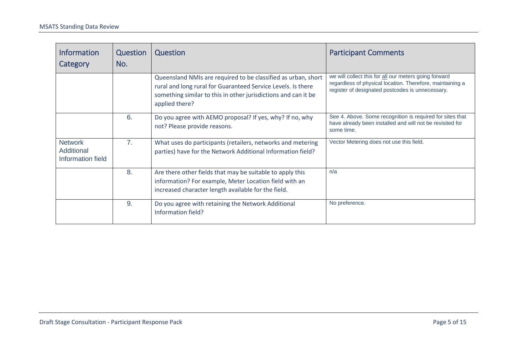| <b>Information</b><br>Category                    | Question<br>No. | Question                                                                                                                                                                                                          | <b>Participant Comments</b>                                                                                                                                            |
|---------------------------------------------------|-----------------|-------------------------------------------------------------------------------------------------------------------------------------------------------------------------------------------------------------------|------------------------------------------------------------------------------------------------------------------------------------------------------------------------|
|                                                   |                 | Queensland NMIs are required to be classified as urban, short<br>rural and long rural for Guaranteed Service Levels. Is there<br>something similar to this in other jurisdictions and can it be<br>applied there? | we will collect this for all our meters going forward<br>regardless of physical location. Therefore, maintaining a<br>register of designated postcodes is unnecessary. |
|                                                   | 6.              | Do you agree with AEMO proposal? If yes, why? If no, why<br>not? Please provide reasons.                                                                                                                          | See 4. Above. Some recognition is required for sites that<br>have already been installed and will not be revisited for<br>some time.                                   |
| <b>Network</b><br>Additional<br>Information field | 7 <sub>1</sub>  | What uses do participants (retailers, networks and metering<br>parties) have for the Network Additional Information field?                                                                                        | Vector Metering does not use this field.                                                                                                                               |
|                                                   | 8.              | Are there other fields that may be suitable to apply this<br>information? For example, Meter Location field with an<br>increased character length available for the field.                                        | n/a                                                                                                                                                                    |
|                                                   | 9.              | Do you agree with retaining the Network Additional<br>Information field?                                                                                                                                          | No preference.                                                                                                                                                         |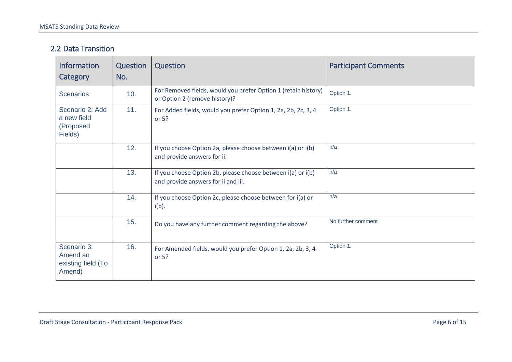#### 2.2 Data Transition

| <b>Information</b><br>Category                                                                                                          | Question<br>No. | Question                                                                                           | <b>Participant Comments</b> |
|-----------------------------------------------------------------------------------------------------------------------------------------|-----------------|----------------------------------------------------------------------------------------------------|-----------------------------|
| <b>Scenarios</b>                                                                                                                        | 10.             | For Removed fields, would you prefer Option 1 (retain history)<br>or Option 2 (remove history)?    | Option 1.                   |
| 11.<br>Scenario 2: Add<br>For Added fields, would you prefer Option 1, 2a, 2b, 2c, 3, 4<br>a new field<br>or 5?<br>(Proposed<br>Fields) |                 | Option 1.                                                                                          |                             |
|                                                                                                                                         | 12.             | If you choose Option 2a, please choose between i(a) or i(b)<br>and provide answers for ii.         | n/a                         |
|                                                                                                                                         | 13.             | If you choose Option 2b, please choose between i(a) or i(b)<br>and provide answers for ii and iii. | n/a                         |
|                                                                                                                                         | 14.             | If you choose Option 2c, please choose between for i(a) or<br>$i(b)$ .                             | n/a                         |
|                                                                                                                                         | 15.             | Do you have any further comment regarding the above?                                               | No further comment          |
| Scenario 3:<br>Amend an<br>existing field (To<br>Amend)                                                                                 | 16.             | For Amended fields, would you prefer Option 1, 2a, 2b, 3, 4<br>or 5?                               | Option 1.                   |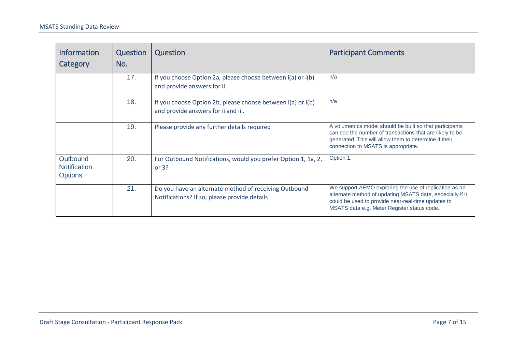| <b>Information</b><br>Category                    | Question<br>No. | <b>Question</b>                                                                                       | <b>Participant Comments</b>                                                                                                                                                                                              |
|---------------------------------------------------|-----------------|-------------------------------------------------------------------------------------------------------|--------------------------------------------------------------------------------------------------------------------------------------------------------------------------------------------------------------------------|
|                                                   | 17.             | If you choose Option 2a, please choose between i(a) or i(b)<br>and provide answers for ii.            | n/a                                                                                                                                                                                                                      |
|                                                   | 18.             | If you choose Option 2b, please choose between i(a) or i(b)<br>and provide answers for ii and iii.    | n/a                                                                                                                                                                                                                      |
|                                                   | 19.             | Please provide any further details required                                                           | A volumetrics model should be built so that participants<br>can see the number of transactions that are likely to be<br>generated. This will allow them to determine if their<br>connection to MSATS is appropriate.     |
| Outbound<br><b>Notification</b><br><b>Options</b> | 20.             | For Outbound Notifications, would you prefer Option 1, 1a, 2,<br>or $3?$                              | Option 1.                                                                                                                                                                                                                |
|                                                   | 21.             | Do you have an alternate method of receiving Outbound<br>Notifications? If so, please provide details | We support AEMO exploring the use of replication as an<br>alternate method of updating MSATS date, especially if it<br>could be used to provide near-real-time updates to<br>MSATS data e.g. Meter Register status code. |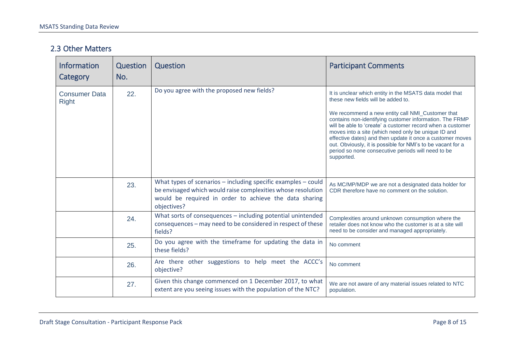#### 2.3 Other Matters

| <b>Information</b><br>Category       | <b>Question</b><br>No. | Question                                                                                                                                                                                                   | <b>Participant Comments</b>                                                                                                                                                                                                                                                                                                                                                                                                                                                                                                       |
|--------------------------------------|------------------------|------------------------------------------------------------------------------------------------------------------------------------------------------------------------------------------------------------|-----------------------------------------------------------------------------------------------------------------------------------------------------------------------------------------------------------------------------------------------------------------------------------------------------------------------------------------------------------------------------------------------------------------------------------------------------------------------------------------------------------------------------------|
| <b>Consumer Data</b><br><b>Right</b> | 22.                    | Do you agree with the proposed new fields?                                                                                                                                                                 | It is unclear which entity in the MSATS data model that<br>these new fields will be added to.<br>We recommend a new entity call NMI_Customer that<br>contains non-identifying customer information. The FRMP<br>will be able to 'create' a customer record when a customer<br>moves into a site (which need only be unique ID and<br>effective dates) and then update it once a customer moves<br>out. Obviously, it is possible for NMI's to be vacant for a<br>period so none consecutive periods will need to be<br>supported. |
|                                      | 23.                    | What types of scenarios $-$ including specific examples $-$ could<br>be envisaged which would raise complexities whose resolution<br>would be required in order to achieve the data sharing<br>objectives? | As MC/MP/MDP we are not a designated data holder for<br>CDR therefore have no comment on the solution.                                                                                                                                                                                                                                                                                                                                                                                                                            |
|                                      | 24.                    | What sorts of consequences - including potential unintended<br>consequences - may need to be considered in respect of these<br>fields?                                                                     | Complexities around unknown consumption where the<br>retailer does not know who the customer is at a site will<br>need to be consider and managed appropriately.                                                                                                                                                                                                                                                                                                                                                                  |
|                                      | 25.                    | Do you agree with the timeframe for updating the data in<br>these fields?                                                                                                                                  | No comment                                                                                                                                                                                                                                                                                                                                                                                                                                                                                                                        |
|                                      | 26.                    | Are there other suggestions to help meet the ACCC's<br>objective?                                                                                                                                          | No comment                                                                                                                                                                                                                                                                                                                                                                                                                                                                                                                        |
|                                      | 27.                    | Given this change commenced on 1 December 2017, to what<br>extent are you seeing issues with the population of the NTC?                                                                                    | We are not aware of any material issues related to NTC<br>population.                                                                                                                                                                                                                                                                                                                                                                                                                                                             |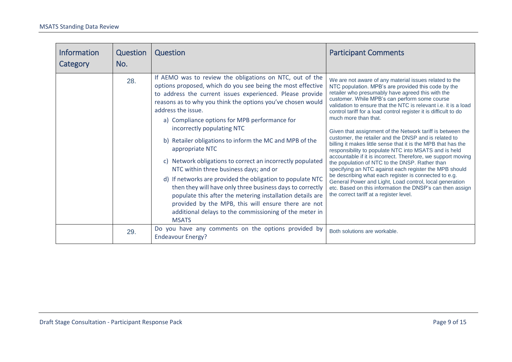<span id="page-8-0"></span>

| <b>Information</b><br>Category | <b>Question</b><br>No. | Question                                                                                                                                                                                                                                                                                                                                                                                                                                                                                                                                                                                                                                                                                                                                                                                                                                                                | <b>Participant Comments</b>                                                                                                                                                                                                                                                                                                                                                                                                                                                                                                                                                                                                                                                                                                                                                                                                                                                                                                                                                                                                                 |
|--------------------------------|------------------------|-------------------------------------------------------------------------------------------------------------------------------------------------------------------------------------------------------------------------------------------------------------------------------------------------------------------------------------------------------------------------------------------------------------------------------------------------------------------------------------------------------------------------------------------------------------------------------------------------------------------------------------------------------------------------------------------------------------------------------------------------------------------------------------------------------------------------------------------------------------------------|---------------------------------------------------------------------------------------------------------------------------------------------------------------------------------------------------------------------------------------------------------------------------------------------------------------------------------------------------------------------------------------------------------------------------------------------------------------------------------------------------------------------------------------------------------------------------------------------------------------------------------------------------------------------------------------------------------------------------------------------------------------------------------------------------------------------------------------------------------------------------------------------------------------------------------------------------------------------------------------------------------------------------------------------|
|                                | 28.                    | If AEMO was to review the obligations on NTC, out of the<br>options proposed, which do you see being the most effective<br>to address the current issues experienced. Please provide<br>reasons as to why you think the options you've chosen would<br>address the issue.<br>a) Compliance options for MPB performance for<br>incorrectly populating NTC<br>b) Retailer obligations to inform the MC and MPB of the<br>appropriate NTC<br>c) Network obligations to correct an incorrectly populated<br>NTC within three business days; and or<br>d) If networks are provided the obligation to populate NTC<br>then they will have only three business days to correctly<br>populate this after the metering installation details are<br>provided by the MPB, this will ensure there are not<br>additional delays to the commissioning of the meter in<br><b>MSATS</b> | We are not aware of any material issues related to the<br>NTC population. MPB's are provided this code by the<br>retailer who presumably have agreed this with the<br>customer. While MPB's can perform some course<br>validation to ensure that the NTC is relevant i.e. it is a load<br>control tariff for a load control register it is difficult to do<br>much more than that.<br>Given that assignment of the Network tariff is between the<br>customer, the retailer and the DNSP and is related to<br>billing it makes little sense that it is the MPB that has the<br>responsibility to populate NTC into MSATS and is held<br>accountable if it is incorrect. Therefore, we support moving<br>the population of NTC to the DNSP. Rather than<br>specifying an NTC against each register the MPB should<br>be describing what each register is connected to e.g.<br>General Power and Light, Load control, local generation<br>etc. Based on this information the DNSP's can then assign<br>the correct tariff at a register level. |
|                                | 29.                    | Do you have any comments on the options provided by<br><b>Endeavour Energy?</b>                                                                                                                                                                                                                                                                                                                                                                                                                                                                                                                                                                                                                                                                                                                                                                                         | Both solutions are workable.                                                                                                                                                                                                                                                                                                                                                                                                                                                                                                                                                                                                                                                                                                                                                                                                                                                                                                                                                                                                                |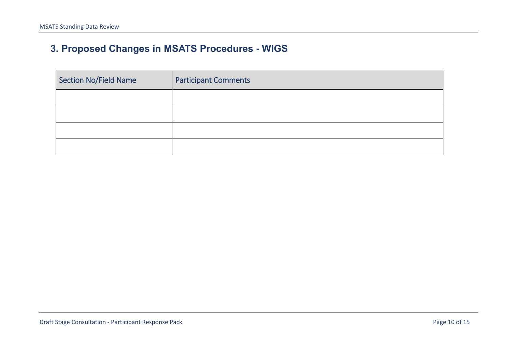# **3. Proposed Changes in MSATS Procedures - WIGS**

| Section No/Field Name | <b>Participant Comments</b> |
|-----------------------|-----------------------------|
|                       |                             |
|                       |                             |
|                       |                             |
|                       |                             |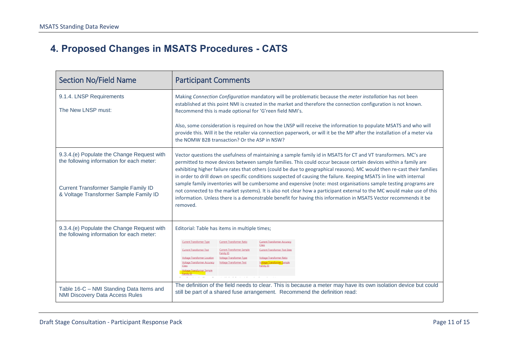# **4. Proposed Changes in MSATS Procedures - CATS**

| <b>Section No/Field Name</b>                                                                                                                                              | <b>Participant Comments</b>                                                                                                                                                                                                                                                                                                                                                                                                                                                                                                                                                                                                                                                                                                                                                                                                                                         |
|---------------------------------------------------------------------------------------------------------------------------------------------------------------------------|---------------------------------------------------------------------------------------------------------------------------------------------------------------------------------------------------------------------------------------------------------------------------------------------------------------------------------------------------------------------------------------------------------------------------------------------------------------------------------------------------------------------------------------------------------------------------------------------------------------------------------------------------------------------------------------------------------------------------------------------------------------------------------------------------------------------------------------------------------------------|
| 9.1.4. LNSP Requirements<br>The New LNSP must:                                                                                                                            | Making Connection Configuration mandatory will be problematic because the meter installation has not been<br>established at this point NMI is created in the market and therefore the connection configuration is not known.<br>Recommend this is made optional for 'G'reen field NMI's.<br>Also, some consideration is required on how the LNSP will receive the information to populate MSATS and who will<br>provide this. Will it be the retailer via connection paperwork, or will it be the MP after the installation of a meter via<br>the NOMW B2B transaction? Or the ASP in NSW?                                                                                                                                                                                                                                                                          |
| 9.3.4.(e) Populate the Change Request with<br>the following information for each meter:<br>Current Transformer Sample Family ID<br>& Voltage Transformer Sample Family ID | Vector questions the usefulness of maintaining a sample family id in MSATS for CT and VT transformers. MC's are<br>permitted to move devices between sample families. This could occur because certain devices within a family are<br>exhibiting higher failure rates that others (could be due to geographical reasons). MC would then re-cast their families<br>in order to drill down on specific conditions suspected of causing the failure. Keeping MSATS in line with internal<br>sample family inventories will be cumbersome and expensive (note: most organisations sample testing programs are<br>not connected to the market systems). It is also not clear how a participant external to the MC would make use of this<br>information. Unless there is a demonstrable benefit for having this information in MSATS Vector recommends it be<br>removed. |
| 9.3.4.(e) Populate the Change Request with<br>the following information for each meter:                                                                                   | Editorial: Table has items in multiple times;<br><b>Current Transformer Type</b><br><b>Current Transformer Ratio</b><br><b>Current Transformer Accuracy</b><br><b>Current Transformer Test</b><br><b>Current Transformer Sample</b><br><b>Current Transformer Test Date</b><br>Family ID<br><b>Voltage Transformer Location</b><br><b>Voltage Transformer Type</b><br><b>Voltage Transformer Ratio</b><br><b>Voltage Transformer Accuracy</b><br><b>Voltage Transformer Test</b><br><b>Voltage Transformer Sample</b><br><b>Sitage Transformer Sample</b><br>The definition of the field needs to clear. This is because a meter may have its own isolation device but could                                                                                                                                                                                        |
| Table 16-C - NMI Standing Data Items and<br><b>NMI Discovery Data Access Rules</b>                                                                                        | still be part of a shared fuse arrangement. Recommend the definition read:                                                                                                                                                                                                                                                                                                                                                                                                                                                                                                                                                                                                                                                                                                                                                                                          |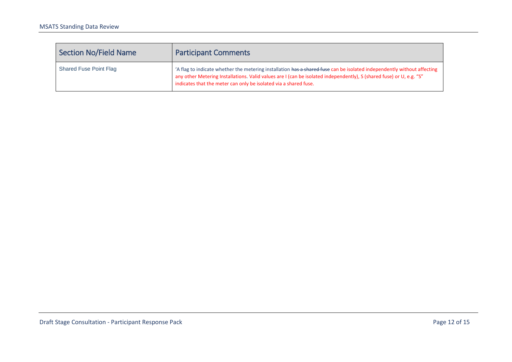| <b>Section No/Field Name</b>  | <b>Participant Comments</b>                                                                                                                                                                                                                                                                                         |
|-------------------------------|---------------------------------------------------------------------------------------------------------------------------------------------------------------------------------------------------------------------------------------------------------------------------------------------------------------------|
| <b>Shared Fuse Point Flag</b> | 'A flag to indicate whether the metering installation has a shared fuse can be isolated independently without affecting<br>any other Metering Installations. Valid values are I (can be isolated independently), S (shared fuse) or U, e.g. "S"<br>indicates that the meter can only be isolated via a shared fuse. |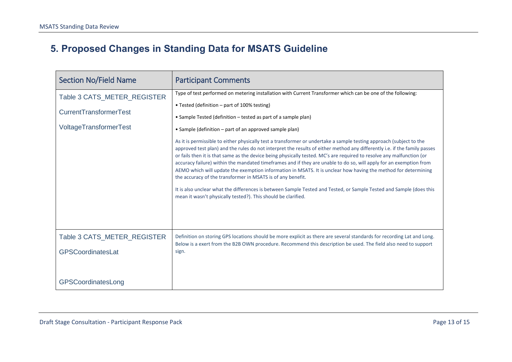# **5. Proposed Changes in Standing Data for MSATS Guideline**

| <b>Section No/Field Name</b>                                                    | <b>Participant Comments</b>                                                                                                                                                                                                                                                                                                                                                                                                                                                                                                                                                                                                                                                                                                                                                                                                                                                                                                                                                                                                                                                                                                                                          |
|---------------------------------------------------------------------------------|----------------------------------------------------------------------------------------------------------------------------------------------------------------------------------------------------------------------------------------------------------------------------------------------------------------------------------------------------------------------------------------------------------------------------------------------------------------------------------------------------------------------------------------------------------------------------------------------------------------------------------------------------------------------------------------------------------------------------------------------------------------------------------------------------------------------------------------------------------------------------------------------------------------------------------------------------------------------------------------------------------------------------------------------------------------------------------------------------------------------------------------------------------------------|
| Table 3 CATS_METER_REGISTER<br>CurrentTransformerTest<br>VoltageTransformerTest | Type of test performed on metering installation with Current Transformer which can be one of the following:<br>• Tested (definition – part of 100% testing)<br>• Sample Tested (definition – tested as part of a sample plan)<br>• Sample (definition – part of an approved sample plan)<br>As it is permissible to either physically test a transformer or undertake a sample testing approach (subject to the<br>approved test plan) and the rules do not interpret the results of either method any differently i.e. if the family passes<br>or fails then it is that same as the device being physically tested. MC's are required to resolve any malfunction (or<br>accuracy failure) within the mandated timeframes and if they are unable to do so, will apply for an exemption from<br>AEMO which will update the exemption information in MSATS. It is unclear how having the method for determining<br>the accuracy of the transformer in MSATS is of any benefit.<br>It is also unclear what the differences is between Sample Tested and Tested, or Sample Tested and Sample (does this<br>mean it wasn't physically tested?). This should be clarified. |
| Table 3 CATS_METER_REGISTER<br>GPSCoordinatesLat<br>GPSCoordinatesLong          | Definition on storing GPS locations should be more explicit as there are several standards for recording Lat and Long.<br>Below is a exert from the B2B OWN procedure. Recommend this description be used. The field also need to support<br>sign.                                                                                                                                                                                                                                                                                                                                                                                                                                                                                                                                                                                                                                                                                                                                                                                                                                                                                                                   |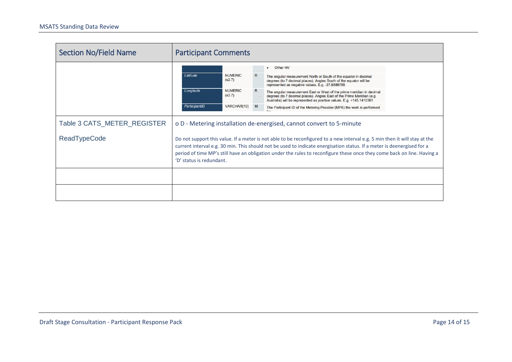| <b>Section No/Field Name</b> | <b>Participant Comments</b>                                                                                                                                                                                                                                                                                                                                                                                 |                          |  |                                                                                                                                                                                                                         |  |
|------------------------------|-------------------------------------------------------------------------------------------------------------------------------------------------------------------------------------------------------------------------------------------------------------------------------------------------------------------------------------------------------------------------------------------------------------|--------------------------|--|-------------------------------------------------------------------------------------------------------------------------------------------------------------------------------------------------------------------------|--|
|                              | Latitude                                                                                                                                                                                                                                                                                                                                                                                                    | <b>NUMERIC</b><br>(s2.7) |  | Other HV<br>$\bullet$<br>The angular measurement North or South of the equator in decimal<br>degrees (to 7 decimal places). Angles South of the equator will be<br>represented as negative values. E.g. -37.8886755     |  |
|                              | Longitude                                                                                                                                                                                                                                                                                                                                                                                                   | <b>NUMERIC</b><br>(s3.7) |  | The angular measurement East or West of the prime meridian in decimal<br>degrees (to 7 decimal places). Angles East of the Prime Meridian (e.g.<br>Australia) will be represented as positive values. E.g. +145.1410361 |  |
|                              | ParticipantID                                                                                                                                                                                                                                                                                                                                                                                               | VARCHAR(10) M            |  | The Participant ID of the Metering Provider (MPB) the work is performed                                                                                                                                                 |  |
| Table 3 CATS_METER_REGISTER  | o D - Metering installation de-energised, cannot convert to 5-minute                                                                                                                                                                                                                                                                                                                                        |                          |  |                                                                                                                                                                                                                         |  |
| <b>ReadTypeCode</b>          | Do not support this value. If a meter is not able to be reconfigured to a new interval e.g. 5 min then it will stay at the<br>current interval e.g. 30 min. This should not be used to indicate energisation status. If a meter is deenergised for a<br>period of time MP's still have an obligation under the rules to reconfigure these once they come back on line. Having a<br>'D' status is redundant. |                          |  |                                                                                                                                                                                                                         |  |
|                              |                                                                                                                                                                                                                                                                                                                                                                                                             |                          |  |                                                                                                                                                                                                                         |  |
|                              |                                                                                                                                                                                                                                                                                                                                                                                                             |                          |  |                                                                                                                                                                                                                         |  |